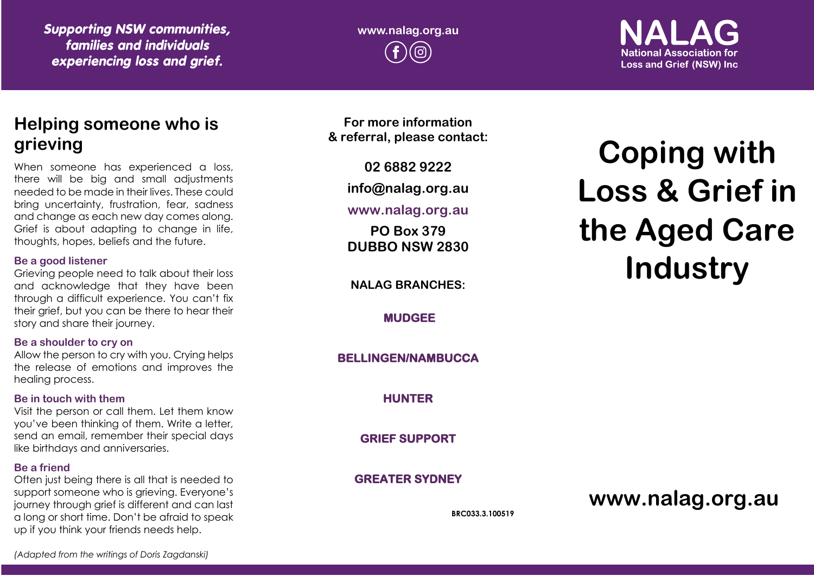*Supporting NSW communities, families and individuals experiencing loss and grief.*

**www.nalag.org.au**

**National Association for Loss and Grief (NSW) Inc.** 

# **Helping someone who is grieving**

When someone has experienced a loss, there will be big and small adjustments needed to be made in their lives. These could bring uncertainty, frustration, fear, sadness and change as each new day comes along. Grief is about adapting to change in life, thoughts, hopes, beliefs and the future.

#### **Be a good listener**

Grieving people need to talk about their loss and acknowledge that they have been through a difficult experience. You can't fix their grief, but you can be there to hear their story and share their journey.

#### **Be a shoulder to cry on**

Allow the person to cry with you. Crying helps the release of emotions and improves the healing process.

#### **Be in touch with them**

Visit the person or call them. Let them know you've been thinking of them. Write a letter, send an email, remember their special days like birthdays and anniversaries.

#### **Be a friend**

Often just being there is all that is needed to support someone who is grieving. Everyone's journey through grief is different and can last a long or short time. Don't be afraid to speak up if you think your friends needs help.

**For more information & referral, please contact:**

**02 6882 9222**

**info@nalag.org.au**

## **www.nalag.org.au**

**PO Box 379 DUBBO NSW 2830**

**NALAG BRANCHES:**

**MUDGEE** 

**BELLINGEN/NAMBUCCA** 

**HUNTER** 

**GRIEF SUPPORT** 

**GREATER SYDNEY** 

**BRC033.3.100519**

# **Coping with Loss & Grief in the Aged Care Industry**

**www.nalag.org.au**

*(Adapted from the writings of Doris Zagdanski)*